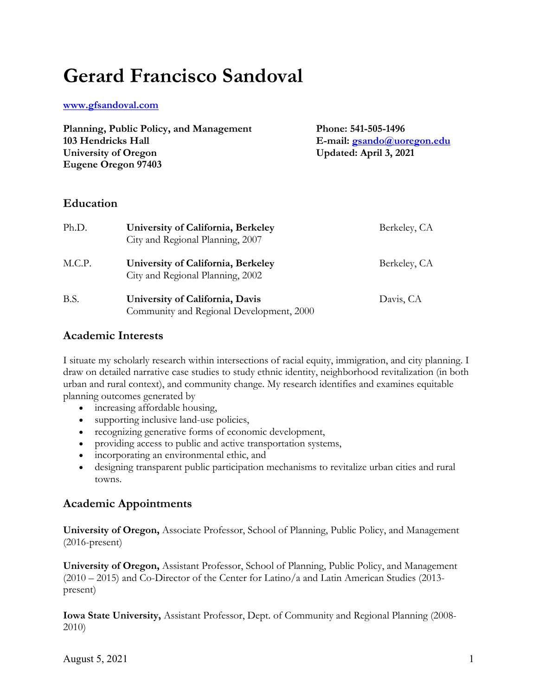# **Gerard Francisco Sandoval**

**www.gfsandoval.com**

| Planning, Public Policy, and Management | Phone: 541-505-1496               |
|-----------------------------------------|-----------------------------------|
| 103 Hendricks Hall                      | E-mail: <i>gsando@uoregon.edu</i> |
| University of Oregon                    | Updated: April 3, 2021            |
| Eugene Oregon 97403                     |                                   |

## **Education**

| Ph.D.  | University of California, Berkeley<br>City and Regional Planning, 2007      | Berkeley, CA |
|--------|-----------------------------------------------------------------------------|--------------|
| M.C.P. | University of California, Berkeley<br>City and Regional Planning, 2002      | Berkeley, CA |
| B.S.   | University of California, Davis<br>Community and Regional Development, 2000 | Davis, CA    |

## **Academic Interests**

I situate my scholarly research within intersections of racial equity, immigration, and city planning. I draw on detailed narrative case studies to study ethnic identity, neighborhood revitalization (in both urban and rural context), and community change. My research identifies and examines equitable planning outcomes generated by

- increasing affordable housing,
- supporting inclusive land-use policies,
- recognizing generative forms of economic development,
- providing access to public and active transportation systems,
- incorporating an environmental ethic, and
- designing transparent public participation mechanisms to revitalize urban cities and rural towns.

# **Academic Appointments**

**University of Oregon,** Associate Professor, School of Planning, Public Policy, and Management (2016-present)

**University of Oregon,** Assistant Professor, School of Planning, Public Policy, and Management (2010 – 2015) and Co-Director of the Center for Latino/a and Latin American Studies (2013 present)

**Iowa State University,** Assistant Professor, Dept. of Community and Regional Planning (2008- 2010)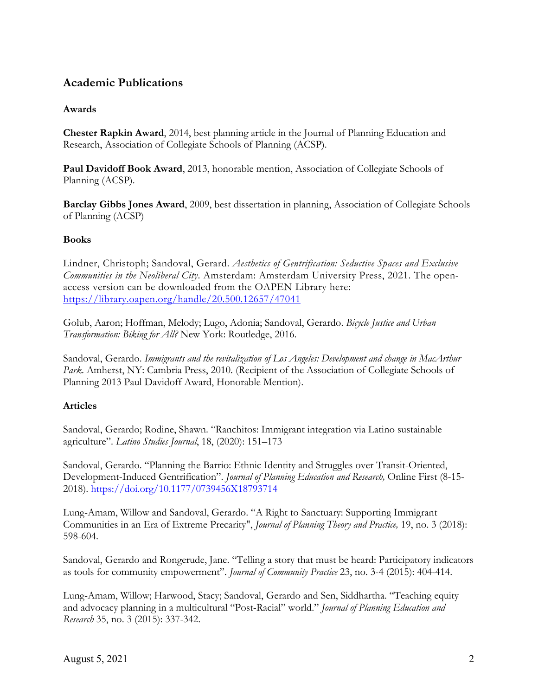# **Academic Publications**

## **Awards**

**Chester Rapkin Award**, 2014, best planning article in the Journal of Planning Education and Research, Association of Collegiate Schools of Planning (ACSP).

**Paul Davidoff Book Award**, 2013, honorable mention, Association of Collegiate Schools of Planning (ACSP).

**Barclay Gibbs Jones Award**, 2009, best dissertation in planning, Association of Collegiate Schools of Planning (ACSP)

## **Books**

Lindner, Christoph; Sandoval, Gerard. *Aesthetics of Gentrification: Seductive Spaces and Exclusive Communities in the Neoliberal City*. Amsterdam: Amsterdam University Press, 2021. The openaccess version can be downloaded from the OAPEN Library here: https://library.oapen.org/handle/20.500.12657/47041

Golub, Aaron; Hoffman, Melody; Lugo, Adonia; Sandoval, Gerardo. *Bicycle Justice and Urban Transformation: Biking for All?* New York: Routledge, 2016.

Sandoval, Gerardo. *Immigrants and the revitalization of Los Angeles: Development and change in MacArthur Park*. Amherst, NY: Cambria Press, 2010. (Recipient of the Association of Collegiate Schools of Planning 2013 Paul Davidoff Award, Honorable Mention).

## **Articles**

Sandoval, Gerardo; Rodine, Shawn. "Ranchitos: Immigrant integration via Latino sustainable agriculture". *Latino Studies Journal*, 18, (2020): 151–173

Sandoval, Gerardo. "Planning the Barrio: Ethnic Identity and Struggles over Transit-Oriented, Development-Induced Gentrification". *Journal of Planning Education and Research,* Online First (8-15- 2018). https://doi.org/10.1177/0739456X18793714

Lung-Amam, Willow and Sandoval, Gerardo. "A Right to Sanctuary: Supporting Immigrant Communities in an Era of Extreme Precarity", *Journal of Planning Theory and Practice,* 19, no. 3 (2018): 598-604.

Sandoval, Gerardo and Rongerude, Jane. "Telling a story that must be heard: Participatory indicators as tools for community empowerment". *Journal of Community Practice* 23, no. 3-4 (2015): 404-414.

Lung-Amam, Willow; Harwood, Stacy; Sandoval, Gerardo and Sen, Siddhartha. "Teaching equity and advocacy planning in a multicultural "Post-Racial" world." *Journal of Planning Education and Research* 35, no. 3 (2015): 337-342.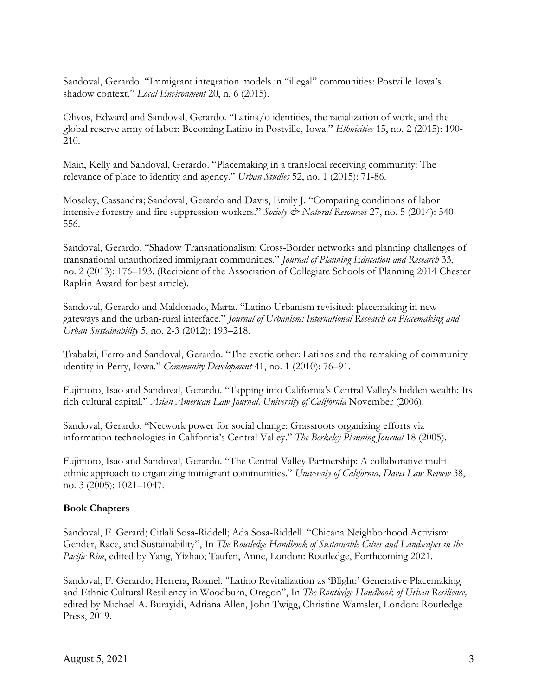Sandoval, Gerardo. "Immigrant integration models in "illegal" communities: Postville Iowa's shadow context." *Local Environment* 20, n. 6 (2015).

Olivos, Edward and Sandoval, Gerardo. "Latina/o identities, the racialization of work, and the global reserve army of labor: Becoming Latino in Postville, Iowa." *Ethnicities* 15, no. 2 (2015): 190- 210.

Main, Kelly and Sandoval, Gerardo. "Placemaking in a translocal receiving community: The relevance of place to identity and agency." *Urban Studies* 52, no. 1 (2015): 71-86.

Moseley, Cassandra; Sandoval, Gerardo and Davis, Emily J. "Comparing conditions of laborintensive forestry and fire suppression workers." *Society & Natural Resources* 27, no. 5 (2014): 540– 556.

Sandoval, Gerardo. "Shadow Transnationalism: Cross-Border networks and planning challenges of transnational unauthorized immigrant communities." *Journal of Planning Education and Research* 33, no. 2 (2013): 176–193. (Recipient of the Association of Collegiate Schools of Planning 2014 Chester Rapkin Award for best article).

Sandoval, Gerardo and Maldonado, Marta. "Latino Urbanism revisited: placemaking in new gateways and the urban-rural interface." *Journal of Urbanism: International Research on Placemaking and Urban Sustainability* 5, no. 2-3 (2012): 193–218.

Trabalzi, Ferro and Sandoval, Gerardo. "The exotic other: Latinos and the remaking of community identity in Perry, Iowa." *Community Development* 41, no. 1 (2010): 76–91.

Fujimoto, Isao and Sandoval, Gerardo. "Tapping into California's Central Valley's hidden wealth: Its rich cultural capital." *Asian American Law Journal, University of California* November (2006).

Sandoval, Gerardo. "Network power for social change: Grassroots organizing efforts via information technologies in California's Central Valley." *The Berkeley Planning Journal* 18 (2005).

Fujimoto, Isao and Sandoval, Gerardo. "The Central Valley Partnership: A collaborative multiethnic approach to organizing immigrant communities." *University of California, Davis Law Review* 38, no. 3 (2005): 1021–1047.

#### **Book Chapters**

Sandoval, F. Gerard; Citlali Sosa-Riddell; Ada Sosa-Riddell. "Chicana Neighborhood Activism: Gender, Race, and Sustainability", In *The Routledge Handbook of Sustainable Cities and Landscapes in the Pacific Rim*, edited by Yang, Yizhao; Taufen, Anne, London: Routledge, Forthcoming 2021.

Sandoval, F. Gerardo; Herrera, Roanel. "Latino Revitalization as 'Blight:' Generative Placemaking and Ethnic Cultural Resiliency in Woodburn, Oregon", In *The Routledge Handbook of Urban Resilience,*  edited by Michael A. Burayidi, Adriana Allen, John Twigg, Christine Wamsler, London: Routledge Press, 2019.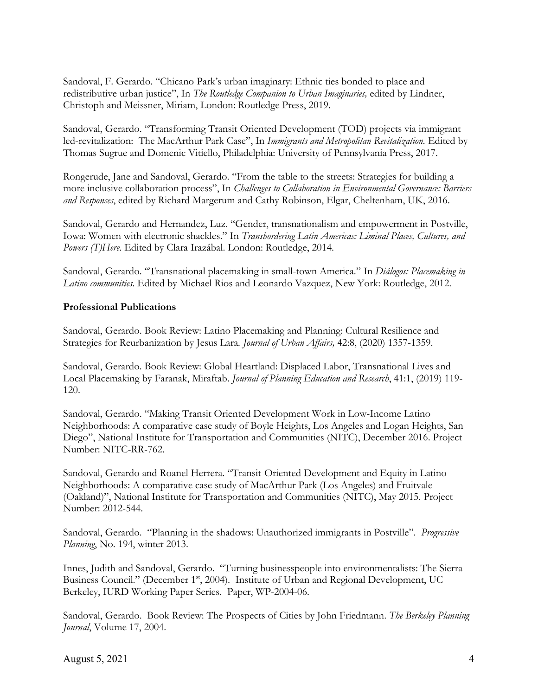Sandoval, F. Gerardo. "Chicano Park's urban imaginary: Ethnic ties bonded to place and redistributive urban justice", In *The Routledge Companion to Urban Imaginaries,* edited by Lindner, Christoph and Meissner, Miriam, London: Routledge Press, 2019.

Sandoval, Gerardo. "Transforming Transit Oriented Development (TOD) projects via immigrant led-revitalization: The MacArthur Park Case", In *Immigrants and Metropolitan Revitalization.* Edited by Thomas Sugrue and Domenic Vitiello, Philadelphia: University of Pennsylvania Press, 2017.

Rongerude, Jane and Sandoval, Gerardo. "From the table to the streets: Strategies for building a more inclusive collaboration process", In *Challenges to Collaboration in Environmental Governance: Barriers and Responses*, edited by Richard Margerum and Cathy Robinson, Elgar, Cheltenham, UK, 2016.

Sandoval, Gerardo and Hernandez, Luz. "Gender, transnationalism and empowerment in Postville, Iowa: Women with electronic shackles." In *Transbordering Latin Americas: Liminal Places, Cultures, and Powers (T)Here*. Edited by Clara Irazábal. London: Routledge, 2014.

Sandoval, Gerardo. "Transnational placemaking in small-town America." In *Diálogos: Placemaking in Latino communities*. Edited by Michael Rios and Leonardo Vazquez, New York: Routledge, 2012.

## **Professional Publications**

Sandoval, Gerardo. Book Review: Latino Placemaking and Planning: Cultural Resilience and Strategies for Reurbanization by Jesus Lara*. Journal of Urban Affairs,* 42:8, (2020) 1357-1359.

Sandoval, Gerardo. Book Review: Global Heartland: Displaced Labor, Transnational Lives and Local Placemaking by Faranak, Miraftab. *Journal of Planning Education and Research*, 41:1, (2019) 119- 120.

Sandoval, Gerardo. "Making Transit Oriented Development Work in Low-Income Latino Neighborhoods: A comparative case study of Boyle Heights, Los Angeles and Logan Heights, San Diego", National Institute for Transportation and Communities (NITC), December 2016. Project Number: NITC-RR-762.

Sandoval, Gerardo and Roanel Herrera. "Transit-Oriented Development and Equity in Latino Neighborhoods: A comparative case study of MacArthur Park (Los Angeles) and Fruitvale (Oakland)", National Institute for Transportation and Communities (NITC), May 2015. Project Number: 2012-544.

Sandoval, Gerardo. "Planning in the shadows: Unauthorized immigrants in Postville". *Progressive Planning*, No. 194, winter 2013.

Innes, Judith and Sandoval, Gerardo. "Turning businesspeople into environmentalists: The Sierra Business Council." (December 1st, 2004). Institute of Urban and Regional Development, UC Berkeley, IURD Working Paper Series. Paper, WP-2004-06.

Sandoval, Gerardo. Book Review: The Prospects of Cities by John Friedmann. *The Berkeley Planning Journal*, Volume 17, 2004.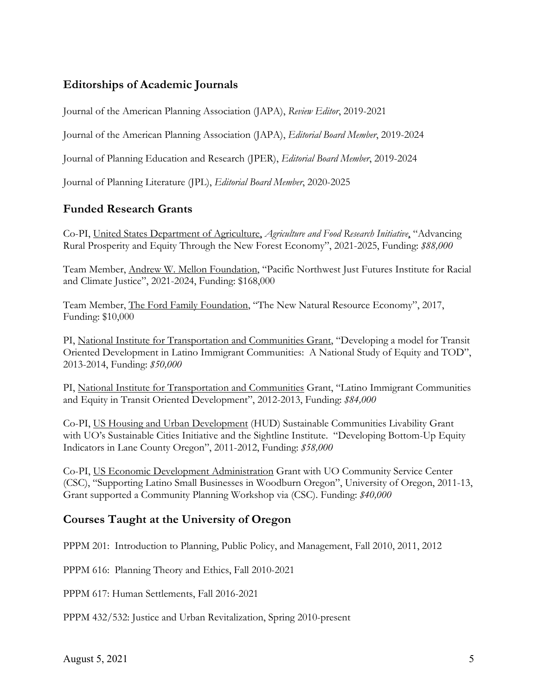# **Editorships of Academic Journals**

Journal of the American Planning Association (JAPA), *Review Editor*, 2019-2021

Journal of the American Planning Association (JAPA), *Editorial Board Member*, 2019-2024

Journal of Planning Education and Research (JPER), *Editorial Board Member*, 2019-2024

Journal of Planning Literature (JPL), *Editorial Board Member*, 2020-2025

# **Funded Research Grants**

Co-PI, United States Department of Agriculture, *Agriculture and Food Research Initiative*, "Advancing Rural Prosperity and Equity Through the New Forest Economy", 2021-2025, Funding: *\$88,000*

Team Member, Andrew W. Mellon Foundation, "Pacific Northwest Just Futures Institute for Racial and Climate Justice", 2021-2024, Funding: \$168,000

Team Member, The Ford Family Foundation, "The New Natural Resource Economy", 2017, Funding: \$10,000

PI, National Institute for Transportation and Communities Grant, "Developing a model for Transit Oriented Development in Latino Immigrant Communities: A National Study of Equity and TOD", 2013-2014, Funding: *\$50,000*

PI, National Institute for Transportation and Communities Grant, "Latino Immigrant Communities and Equity in Transit Oriented Development", 2012-2013, Funding: *\$84,000*

Co-PI, US Housing and Urban Development (HUD) Sustainable Communities Livability Grant with UO's Sustainable Cities Initiative and the Sightline Institute. "Developing Bottom-Up Equity Indicators in Lane County Oregon", 2011-2012, Funding: *\$58,000*

Co-PI, US Economic Development Administration Grant with UO Community Service Center (CSC), "Supporting Latino Small Businesses in Woodburn Oregon", University of Oregon, 2011-13, Grant supported a Community Planning Workshop via (CSC). Funding: *\$40,000*

# **Courses Taught at the University of Oregon**

PPPM 201: Introduction to Planning, Public Policy, and Management, Fall 2010, 2011, 2012

PPPM 616: Planning Theory and Ethics, Fall 2010-2021

PPPM 617: Human Settlements, Fall 2016-2021

PPPM 432/532: Justice and Urban Revitalization, Spring 2010-present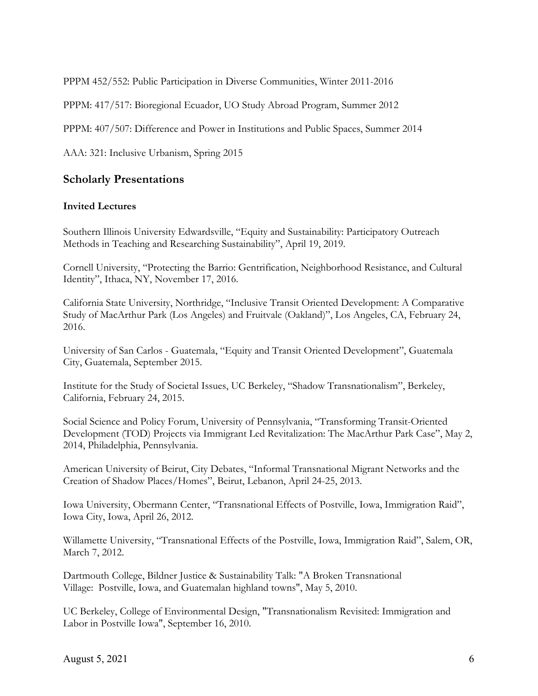PPPM 452/552: Public Participation in Diverse Communities, Winter 2011-2016

PPPM: 417/517: Bioregional Ecuador, UO Study Abroad Program, Summer 2012

PPPM: 407/507: Difference and Power in Institutions and Public Spaces, Summer 2014

AAA: 321: Inclusive Urbanism, Spring 2015

## **Scholarly Presentations**

#### **Invited Lectures**

Southern Illinois University Edwardsville, "Equity and Sustainability: Participatory Outreach Methods in Teaching and Researching Sustainability", April 19, 2019.

Cornell University, "Protecting the Barrio: Gentrification, Neighborhood Resistance, and Cultural Identity", Ithaca, NY, November 17, 2016.

California State University, Northridge, "Inclusive Transit Oriented Development: A Comparative Study of MacArthur Park (Los Angeles) and Fruitvale (Oakland)", Los Angeles, CA, February 24, 2016.

University of San Carlos - Guatemala, "Equity and Transit Oriented Development", Guatemala City, Guatemala, September 2015.

Institute for the Study of Societal Issues, UC Berkeley, "Shadow Transnationalism", Berkeley, California, February 24, 2015.

Social Science and Policy Forum, University of Pennsylvania, "Transforming Transit-Oriented Development (TOD) Projects via Immigrant Led Revitalization: The MacArthur Park Case", May 2, 2014, Philadelphia, Pennsylvania.

American University of Beirut, City Debates, "Informal Transnational Migrant Networks and the Creation of Shadow Places/Homes", Beirut, Lebanon, April 24-25, 2013.

Iowa University, Obermann Center, "Transnational Effects of Postville, Iowa, Immigration Raid", Iowa City, Iowa, April 26, 2012.

Willamette University, "Transnational Effects of the Postville, Iowa, Immigration Raid", Salem, OR, March 7, 2012.

Dartmouth College, Bildner Justice & Sustainability Talk: "A Broken Transnational Village: Postville, Iowa, and Guatemalan highland towns", May 5, 2010.

UC Berkeley, College of Environmental Design, "Transnationalism Revisited: Immigration and Labor in Postville Iowa", September 16, 2010.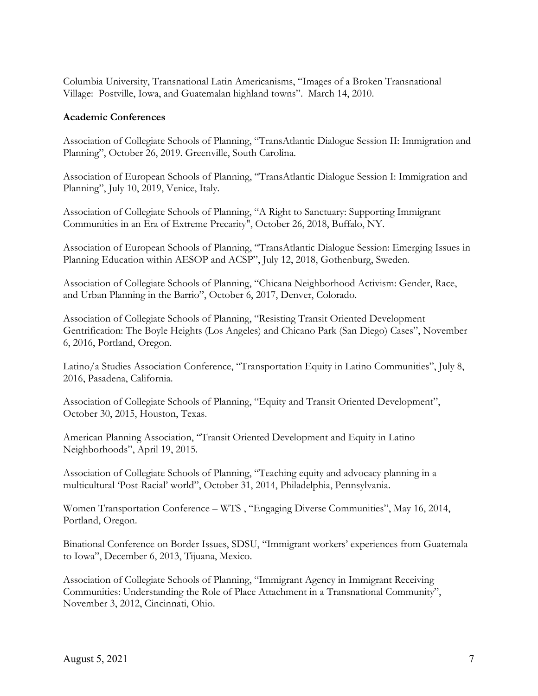Columbia University, Transnational Latin Americanisms, "Images of a Broken Transnational Village: Postville, Iowa, and Guatemalan highland towns". March 14, 2010.

#### **Academic Conferences**

Association of Collegiate Schools of Planning, "TransAtlantic Dialogue Session II: Immigration and Planning", October 26, 2019. Greenville, South Carolina.

Association of European Schools of Planning, "TransAtlantic Dialogue Session I: Immigration and Planning", July 10, 2019, Venice, Italy.

Association of Collegiate Schools of Planning, "A Right to Sanctuary: Supporting Immigrant Communities in an Era of Extreme Precarity", October 26, 2018, Buffalo, NY.

Association of European Schools of Planning, "TransAtlantic Dialogue Session: Emerging Issues in Planning Education within AESOP and ACSP", July 12, 2018, Gothenburg, Sweden.

Association of Collegiate Schools of Planning, "Chicana Neighborhood Activism: Gender, Race, and Urban Planning in the Barrio", October 6, 2017, Denver, Colorado.

Association of Collegiate Schools of Planning, "Resisting Transit Oriented Development Gentrification: The Boyle Heights (Los Angeles) and Chicano Park (San Diego) Cases", November 6, 2016, Portland, Oregon.

Latino/a Studies Association Conference, "Transportation Equity in Latino Communities", July 8, 2016, Pasadena, California.

Association of Collegiate Schools of Planning, "Equity and Transit Oriented Development", October 30, 2015, Houston, Texas.

American Planning Association, "Transit Oriented Development and Equity in Latino Neighborhoods", April 19, 2015.

Association of Collegiate Schools of Planning, "Teaching equity and advocacy planning in a multicultural 'Post-Racial' world", October 31, 2014, Philadelphia, Pennsylvania.

Women Transportation Conference – WTS , "Engaging Diverse Communities", May 16, 2014, Portland, Oregon.

Binational Conference on Border Issues, SDSU, "Immigrant workers' experiences from Guatemala to Iowa", December 6, 2013, Tijuana, Mexico.

Association of Collegiate Schools of Planning, "Immigrant Agency in Immigrant Receiving Communities: Understanding the Role of Place Attachment in a Transnational Community", November 3, 2012, Cincinnati, Ohio.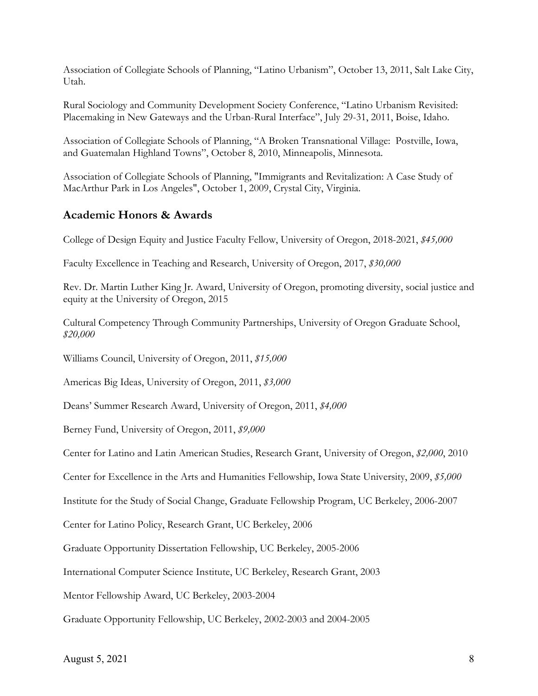Association of Collegiate Schools of Planning, "Latino Urbanism", October 13, 2011, Salt Lake City, Utah.

Rural Sociology and Community Development Society Conference, "Latino Urbanism Revisited: Placemaking in New Gateways and the Urban-Rural Interface", July 29-31, 2011, Boise, Idaho.

Association of Collegiate Schools of Planning, "A Broken Transnational Village: Postville, Iowa, and Guatemalan Highland Towns", October 8, 2010, Minneapolis, Minnesota.

Association of Collegiate Schools of Planning, "Immigrants and Revitalization: A Case Study of MacArthur Park in Los Angeles", October 1, 2009, Crystal City, Virginia.

# **Academic Honors & Awards**

College of Design Equity and Justice Faculty Fellow, University of Oregon, 2018-2021, *\$45,000*

Faculty Excellence in Teaching and Research, University of Oregon, 2017, *\$30,000*

Rev. Dr. Martin Luther King Jr. Award, University of Oregon, promoting diversity, social justice and equity at the University of Oregon, 2015

Cultural Competency Through Community Partnerships, University of Oregon Graduate School, *\$20,000*

Williams Council, University of Oregon, 2011, *\$15,000*

Americas Big Ideas, University of Oregon, 2011, *\$3,000*

Deans' Summer Research Award, University of Oregon, 2011, *\$4,000*

Berney Fund, University of Oregon, 2011, *\$9,000*

Center for Latino and Latin American Studies, Research Grant, University of Oregon, *\$2,000*, 2010

Center for Excellence in the Arts and Humanities Fellowship, Iowa State University, 2009, *\$5,000*

Institute for the Study of Social Change, Graduate Fellowship Program, UC Berkeley, 2006-2007

Center for Latino Policy, Research Grant, UC Berkeley, 2006

Graduate Opportunity Dissertation Fellowship, UC Berkeley, 2005-2006

International Computer Science Institute, UC Berkeley, Research Grant, 2003

Mentor Fellowship Award, UC Berkeley, 2003-2004

Graduate Opportunity Fellowship, UC Berkeley, 2002-2003 and 2004-2005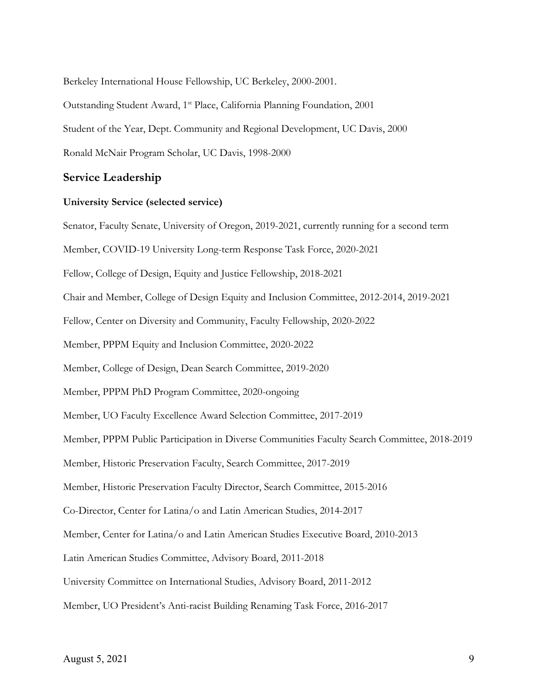Berkeley International House Fellowship, UC Berkeley, 2000-2001.

Outstanding Student Award, 1<sup>st</sup> Place, California Planning Foundation, 2001

Student of the Year, Dept. Community and Regional Development, UC Davis, 2000

Ronald McNair Program Scholar, UC Davis, 1998-2000

#### **Service Leadership**

#### **University Service (selected service)**

Senator, Faculty Senate, University of Oregon, 2019-2021, currently running for a second term Member, COVID-19 University Long-term Response Task Force, 2020-2021 Fellow, College of Design, Equity and Justice Fellowship, 2018-2021 Chair and Member, College of Design Equity and Inclusion Committee, 2012-2014, 2019-2021 Fellow, Center on Diversity and Community, Faculty Fellowship, 2020-2022 Member, PPPM Equity and Inclusion Committee, 2020-2022 Member, College of Design, Dean Search Committee, 2019-2020 Member, PPPM PhD Program Committee, 2020-ongoing Member, UO Faculty Excellence Award Selection Committee, 2017-2019 Member, PPPM Public Participation in Diverse Communities Faculty Search Committee, 2018-2019 Member, Historic Preservation Faculty, Search Committee, 2017-2019 Member, Historic Preservation Faculty Director, Search Committee, 2015-2016 Co-Director, Center for Latina/o and Latin American Studies, 2014-2017 Member, Center for Latina/o and Latin American Studies Executive Board, 2010-2013 Latin American Studies Committee, Advisory Board, 2011-2018 University Committee on International Studies, Advisory Board, 2011-2012 Member, UO President's Anti-racist Building Renaming Task Force, 2016-2017